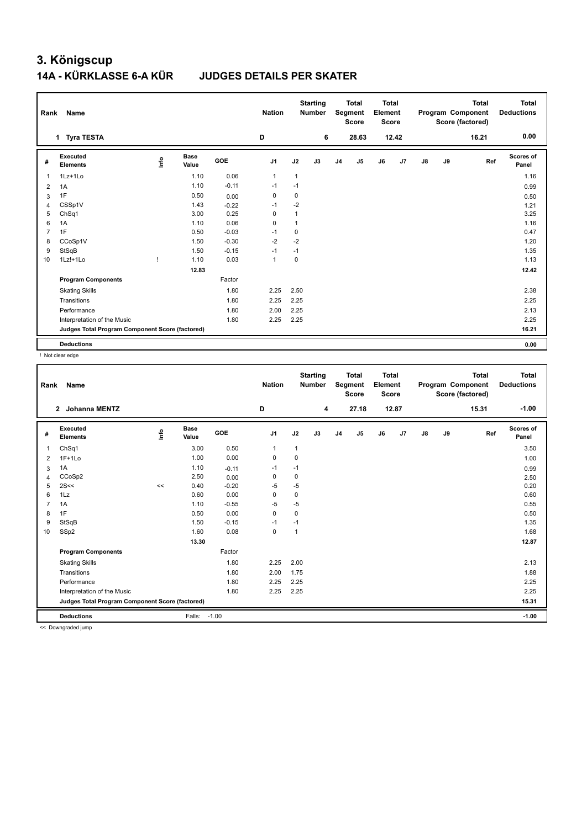### **3. Königscup 14A - KÜRKLASSE 6-A KÜR JUDGES DETAILS PER SKATER**

| Rank           | Name                                            |      |                      |            | <b>Nation</b>  |                | <b>Starting</b><br><b>Number</b> |                | <b>Total</b><br>Segment<br><b>Score</b> | <b>Total</b><br>Element<br><b>Score</b> |       |               |    | <b>Total</b><br>Program Component<br>Score (factored) | Total<br><b>Deductions</b> |
|----------------|-------------------------------------------------|------|----------------------|------------|----------------|----------------|----------------------------------|----------------|-----------------------------------------|-----------------------------------------|-------|---------------|----|-------------------------------------------------------|----------------------------|
|                | 1 Tyra TESTA                                    |      |                      |            | D              |                | 6                                |                | 28.63                                   |                                         | 12.42 |               |    | 16.21                                                 | 0.00                       |
| #              | Executed<br><b>Elements</b>                     | lnfo | <b>Base</b><br>Value | <b>GOE</b> | J <sub>1</sub> | J2             | J3                               | J <sub>4</sub> | J <sub>5</sub>                          | J6                                      | J7    | $\mathsf{J}8$ | J9 | Ref                                                   | Scores of<br>Panel         |
| 1              | $1Lz+1Lo$                                       |      | 1.10                 | 0.06       | $\overline{1}$ | $\mathbf{1}$   |                                  |                |                                         |                                         |       |               |    |                                                       | 1.16                       |
| 2              | 1A                                              |      | 1.10                 | $-0.11$    | $-1$           | $-1$           |                                  |                |                                         |                                         |       |               |    |                                                       | 0.99                       |
| 3              | 1F                                              |      | 0.50                 | 0.00       | 0              | 0              |                                  |                |                                         |                                         |       |               |    |                                                       | 0.50                       |
| 4              | CSSp1V                                          |      | 1.43                 | $-0.22$    | $-1$           | $-2$           |                                  |                |                                         |                                         |       |               |    |                                                       | 1.21                       |
| 5              | ChSq1                                           |      | 3.00                 | 0.25       | 0              | 1              |                                  |                |                                         |                                         |       |               |    |                                                       | 3.25                       |
| 6              | 1A                                              |      | 1.10                 | 0.06       | $\Omega$       | $\overline{1}$ |                                  |                |                                         |                                         |       |               |    |                                                       | 1.16                       |
| $\overline{7}$ | 1F                                              |      | 0.50                 | $-0.03$    | $-1$           | 0              |                                  |                |                                         |                                         |       |               |    |                                                       | 0.47                       |
| 8              | CCoSp1V                                         |      | 1.50                 | $-0.30$    | $-2$           | $-2$           |                                  |                |                                         |                                         |       |               |    |                                                       | 1.20                       |
| 9              | StSqB                                           |      | 1.50                 | $-0.15$    | $-1$           | $-1$           |                                  |                |                                         |                                         |       |               |    |                                                       | 1.35                       |
| 10             | 1Lz!+1Lo                                        |      | 1.10                 | 0.03       | $\overline{1}$ | 0              |                                  |                |                                         |                                         |       |               |    |                                                       | 1.13                       |
|                |                                                 |      | 12.83                |            |                |                |                                  |                |                                         |                                         |       |               |    |                                                       | 12.42                      |
|                | <b>Program Components</b>                       |      |                      | Factor     |                |                |                                  |                |                                         |                                         |       |               |    |                                                       |                            |
|                | <b>Skating Skills</b>                           |      |                      | 1.80       | 2.25           | 2.50           |                                  |                |                                         |                                         |       |               |    |                                                       | 2.38                       |
|                | Transitions                                     |      |                      | 1.80       | 2.25           | 2.25           |                                  |                |                                         |                                         |       |               |    |                                                       | 2.25                       |
|                | Performance                                     |      |                      | 1.80       | 2.00           | 2.25           |                                  |                |                                         |                                         |       |               |    |                                                       | 2.13                       |
|                | Interpretation of the Music                     |      |                      | 1.80       | 2.25           | 2.25           |                                  |                |                                         |                                         |       |               |    |                                                       | 2.25                       |
|                | Judges Total Program Component Score (factored) |      |                      |            |                |                |                                  |                |                                         |                                         |       |               |    |                                                       | 16.21                      |
|                | <b>Deductions</b>                               |      |                      |            |                |                |                                  |                |                                         |                                         |       |               |    |                                                       | 0.00                       |

! Not clear edge

| Rank           | Name                                            |       |                      |         | <b>Nation</b>  |              | <b>Starting</b><br><b>Number</b> |                | <b>Total</b><br>Segment<br><b>Score</b> | <b>Total</b><br>Element<br><b>Score</b> |       |               |    | <b>Total</b><br>Program Component<br>Score (factored) | <b>Total</b><br><b>Deductions</b> |
|----------------|-------------------------------------------------|-------|----------------------|---------|----------------|--------------|----------------------------------|----------------|-----------------------------------------|-----------------------------------------|-------|---------------|----|-------------------------------------------------------|-----------------------------------|
|                | $\mathbf{2}$<br>Johanna MENTZ                   |       |                      |         | D              |              | 4                                |                | 27.18                                   |                                         | 12.87 |               |    | 15.31                                                 | $-1.00$                           |
| #              | Executed<br><b>Elements</b>                     | ۴ů    | <b>Base</b><br>Value | GOE     | J <sub>1</sub> | J2           | J3                               | J <sub>4</sub> | J5                                      | J6                                      | J7    | $\mathsf{J}8$ | J9 | Ref                                                   | <b>Scores of</b><br>Panel         |
| $\overline{1}$ | ChSq1                                           |       | 3.00                 | 0.50    | $\mathbf{1}$   | $\mathbf{1}$ |                                  |                |                                         |                                         |       |               |    |                                                       | 3.50                              |
| 2              | $1F+1Lo$                                        |       | 1.00                 | 0.00    | 0              | $\mathbf 0$  |                                  |                |                                         |                                         |       |               |    |                                                       | 1.00                              |
| 3              | 1A                                              |       | 1.10                 | $-0.11$ | -1             | $-1$         |                                  |                |                                         |                                         |       |               |    |                                                       | 0.99                              |
| 4              | CCoSp2                                          |       | 2.50                 | 0.00    | 0              | $\mathbf 0$  |                                  |                |                                         |                                         |       |               |    |                                                       | 2.50                              |
| 5              | 2S<<                                            | $\,<$ | 0.40                 | $-0.20$ | $-5$           | $-5$         |                                  |                |                                         |                                         |       |               |    |                                                       | 0.20                              |
| 6              | 1Lz                                             |       | 0.60                 | 0.00    | 0              | 0            |                                  |                |                                         |                                         |       |               |    |                                                       | 0.60                              |
| $\overline{7}$ | 1A                                              |       | 1.10                 | $-0.55$ | -5             | -5           |                                  |                |                                         |                                         |       |               |    |                                                       | 0.55                              |
| 8              | 1F                                              |       | 0.50                 | 0.00    | $\mathbf 0$    | $\mathbf 0$  |                                  |                |                                         |                                         |       |               |    |                                                       | 0.50                              |
| 9              | StSqB                                           |       | 1.50                 | $-0.15$ | -1             | $-1$         |                                  |                |                                         |                                         |       |               |    |                                                       | 1.35                              |
| 10             | SSp2                                            |       | 1.60                 | 0.08    | $\mathbf 0$    | 1            |                                  |                |                                         |                                         |       |               |    |                                                       | 1.68                              |
|                |                                                 |       | 13.30                |         |                |              |                                  |                |                                         |                                         |       |               |    |                                                       | 12.87                             |
|                | <b>Program Components</b>                       |       |                      | Factor  |                |              |                                  |                |                                         |                                         |       |               |    |                                                       |                                   |
|                | <b>Skating Skills</b>                           |       |                      | 1.80    | 2.25           | 2.00         |                                  |                |                                         |                                         |       |               |    |                                                       | 2.13                              |
|                | Transitions                                     |       |                      | 1.80    | 2.00           | 1.75         |                                  |                |                                         |                                         |       |               |    |                                                       | 1.88                              |
|                | Performance                                     |       |                      | 1.80    | 2.25           | 2.25         |                                  |                |                                         |                                         |       |               |    |                                                       | 2.25                              |
|                | Interpretation of the Music                     |       |                      | 1.80    | 2.25           | 2.25         |                                  |                |                                         |                                         |       |               |    |                                                       | 2.25                              |
|                | Judges Total Program Component Score (factored) |       |                      |         |                |              |                                  |                |                                         |                                         |       |               |    |                                                       | 15.31                             |
|                | <b>Deductions</b>                               |       | Falls:               | $-1.00$ |                |              |                                  |                |                                         |                                         |       |               |    |                                                       | $-1.00$                           |
| $\sim$         | .                                               |       |                      |         |                |              |                                  |                |                                         |                                         |       |               |    |                                                       |                                   |

<< Downgraded jump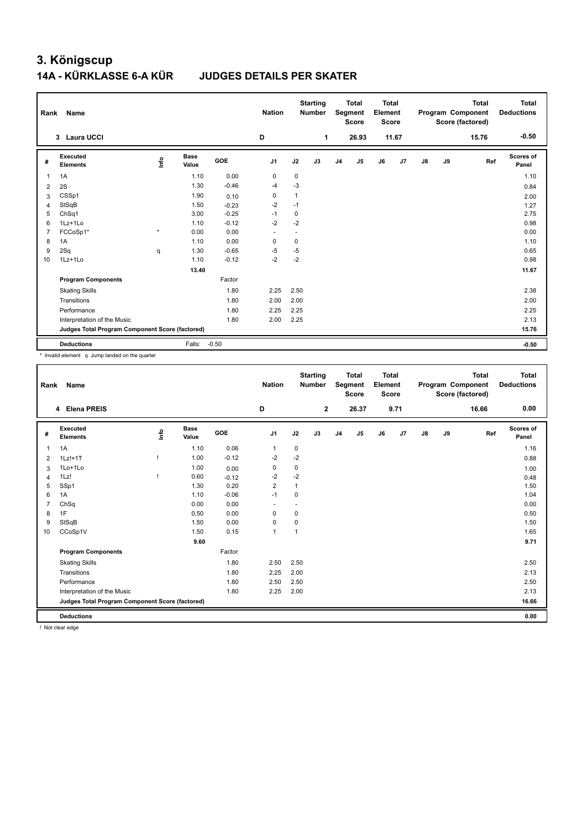# **3. Königscup 14A - KÜRKLASSE 6-A KÜR JUDGES DETAILS PER SKATER**

| Rank           | Name                                            |         |                      |            | <b>Nation</b>  |              | <b>Starting</b><br><b>Number</b> |                | <b>Total</b><br>Segment<br><b>Score</b> | <b>Total</b><br>Element<br><b>Score</b> |       |    |    | <b>Total</b><br>Program Component<br>Score (factored) | <b>Total</b><br><b>Deductions</b> |
|----------------|-------------------------------------------------|---------|----------------------|------------|----------------|--------------|----------------------------------|----------------|-----------------------------------------|-----------------------------------------|-------|----|----|-------------------------------------------------------|-----------------------------------|
|                | 3 Laura UCCI                                    |         |                      |            | D              |              | 1                                |                | 26.93                                   |                                         | 11.67 |    |    | 15.76                                                 | $-0.50$                           |
| #              | Executed<br><b>Elements</b>                     | lnfo    | <b>Base</b><br>Value | <b>GOE</b> | J <sub>1</sub> | J2           | J3                               | J <sub>4</sub> | J <sub>5</sub>                          | J6                                      | J7    | J8 | J9 | Ref                                                   | Scores of<br>Panel                |
| 1              | 1A                                              |         | 1.10                 | 0.00       | 0              | 0            |                                  |                |                                         |                                         |       |    |    |                                                       | 1.10                              |
| 2              | 2S                                              |         | 1.30                 | $-0.46$    | $-4$           | $-3$         |                                  |                |                                         |                                         |       |    |    |                                                       | 0.84                              |
| 3              | CSSp1                                           |         | 1.90                 | 0.10       | 0              | $\mathbf{1}$ |                                  |                |                                         |                                         |       |    |    |                                                       | 2.00                              |
| 4              | StSqB                                           |         | 1.50                 | $-0.23$    | $-2$           | $-1$         |                                  |                |                                         |                                         |       |    |    |                                                       | 1.27                              |
| 5              | ChSq1                                           |         | 3.00                 | $-0.25$    | $-1$           | 0            |                                  |                |                                         |                                         |       |    |    |                                                       | 2.75                              |
| 6              | $1Lz+1Lo$                                       |         | 1.10                 | $-0.12$    | $-2$           | $-2$         |                                  |                |                                         |                                         |       |    |    |                                                       | 0.98                              |
| $\overline{7}$ | FCCoSp1*                                        | $\star$ | 0.00                 | 0.00       | ٠              | ٠            |                                  |                |                                         |                                         |       |    |    |                                                       | 0.00                              |
| 8              | 1A                                              |         | 1.10                 | 0.00       | $\mathbf 0$    | 0            |                                  |                |                                         |                                         |       |    |    |                                                       | 1.10                              |
| 9              | 2Sq                                             | q       | 1.30                 | $-0.65$    | $-5$           | $-5$         |                                  |                |                                         |                                         |       |    |    |                                                       | 0.65                              |
| 10             | 1Lz+1Lo                                         |         | 1.10                 | $-0.12$    | $-2$           | $-2$         |                                  |                |                                         |                                         |       |    |    |                                                       | 0.98                              |
|                |                                                 |         | 13.40                |            |                |              |                                  |                |                                         |                                         |       |    |    |                                                       | 11.67                             |
|                | <b>Program Components</b>                       |         |                      | Factor     |                |              |                                  |                |                                         |                                         |       |    |    |                                                       |                                   |
|                | <b>Skating Skills</b>                           |         |                      | 1.80       | 2.25           | 2.50         |                                  |                |                                         |                                         |       |    |    |                                                       | 2.38                              |
|                | Transitions                                     |         |                      | 1.80       | 2.00           | 2.00         |                                  |                |                                         |                                         |       |    |    |                                                       | 2.00                              |
|                | Performance                                     |         |                      | 1.80       | 2.25           | 2.25         |                                  |                |                                         |                                         |       |    |    |                                                       | 2.25                              |
|                | Interpretation of the Music                     |         |                      | 1.80       | 2.00           | 2.25         |                                  |                |                                         |                                         |       |    |    |                                                       | 2.13                              |
|                | Judges Total Program Component Score (factored) |         |                      |            |                |              |                                  |                |                                         |                                         |       |    |    |                                                       | 15.76                             |
|                | <b>Deductions</b>                               |         | Falls: -0.50         |            |                |              |                                  |                |                                         |                                         |       |    |    |                                                       | $-0.50$                           |

\* Invalid element q Jump landed on the quarter

| Rank           | Name                                            |      |                      |         | <b>Nation</b>            |              | <b>Starting</b><br><b>Number</b> |                | <b>Total</b><br>Segment<br><b>Score</b> | Total<br>Element<br><b>Score</b> |      |               |    | <b>Total</b><br>Program Component<br>Score (factored) | Total<br><b>Deductions</b> |
|----------------|-------------------------------------------------|------|----------------------|---------|--------------------------|--------------|----------------------------------|----------------|-----------------------------------------|----------------------------------|------|---------------|----|-------------------------------------------------------|----------------------------|
|                | <b>Elena PREIS</b><br>4                         |      |                      |         | D                        |              | $\mathbf{2}$                     |                | 26.37                                   |                                  | 9.71 |               |    | 16.66                                                 | 0.00                       |
| #              | Executed<br><b>Elements</b>                     | lnfo | <b>Base</b><br>Value | GOE     | J1                       | J2           | J3                               | J <sub>4</sub> | J5                                      | J6                               | J7   | $\mathsf{J}8$ | J9 | Ref                                                   | Scores of<br>Panel         |
| $\mathbf{1}$   | 1A                                              |      | 1.10                 | 0.06    | $\mathbf{1}$             | 0            |                                  |                |                                         |                                  |      |               |    |                                                       | 1.16                       |
| 2              | $1Lz!+1T$                                       |      | 1.00                 | $-0.12$ | $-2$                     | $-2$         |                                  |                |                                         |                                  |      |               |    |                                                       | 0.88                       |
| 3              | 1Lo+1Lo                                         |      | 1.00                 | 0.00    | 0                        | 0            |                                  |                |                                         |                                  |      |               |    |                                                       | 1.00                       |
| $\overline{4}$ | 1Lz!                                            |      | 0.60                 | $-0.12$ | $-2$                     | $-2$         |                                  |                |                                         |                                  |      |               |    |                                                       | 0.48                       |
| 5              | SSp1                                            |      | 1.30                 | 0.20    | $\overline{2}$           | 1            |                                  |                |                                         |                                  |      |               |    |                                                       | 1.50                       |
| 6              | 1A                                              |      | 1.10                 | $-0.06$ | $-1$                     | 0            |                                  |                |                                         |                                  |      |               |    |                                                       | 1.04                       |
| $\overline{7}$ | ChSq                                            |      | 0.00                 | 0.00    | $\overline{\phantom{a}}$ | $\sim$       |                                  |                |                                         |                                  |      |               |    |                                                       | 0.00                       |
| 8              | 1F                                              |      | 0.50                 | 0.00    | 0                        | 0            |                                  |                |                                         |                                  |      |               |    |                                                       | 0.50                       |
| 9              | StSqB                                           |      | 1.50                 | 0.00    | 0                        | 0            |                                  |                |                                         |                                  |      |               |    |                                                       | 1.50                       |
| 10             | CCoSp1V                                         |      | 1.50                 | 0.15    | $\mathbf{1}$             | $\mathbf{1}$ |                                  |                |                                         |                                  |      |               |    |                                                       | 1.65                       |
|                |                                                 |      | 9.60                 |         |                          |              |                                  |                |                                         |                                  |      |               |    |                                                       | 9.71                       |
|                | <b>Program Components</b>                       |      |                      | Factor  |                          |              |                                  |                |                                         |                                  |      |               |    |                                                       |                            |
|                | <b>Skating Skills</b>                           |      |                      | 1.80    | 2.50                     | 2.50         |                                  |                |                                         |                                  |      |               |    |                                                       | 2.50                       |
|                | Transitions                                     |      |                      | 1.80    | 2.25                     | 2.00         |                                  |                |                                         |                                  |      |               |    |                                                       | 2.13                       |
|                | Performance                                     |      |                      | 1.80    | 2.50                     | 2.50         |                                  |                |                                         |                                  |      |               |    |                                                       | 2.50                       |
|                | Interpretation of the Music                     |      |                      | 1.80    | 2.25                     | 2.00         |                                  |                |                                         |                                  |      |               |    |                                                       | 2.13                       |
|                | Judges Total Program Component Score (factored) |      |                      |         |                          |              |                                  |                |                                         |                                  |      |               |    |                                                       | 16.66                      |
|                | <b>Deductions</b>                               |      |                      |         |                          |              |                                  |                |                                         |                                  |      |               |    |                                                       | 0.00                       |

! Not clear edge